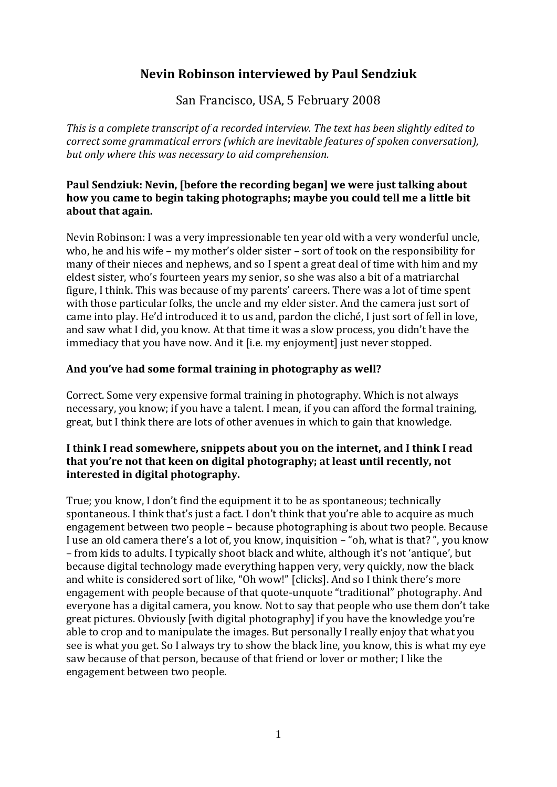# **Nevin Robinson interviewed by Paul Sendziuk**

San Francisco, USA, 5 February 2008

*This is a complete transcript of a recorded interview. The text has been slightly edited to correct some grammatical errors (which are inevitable features of spoken conversation), but only where this was necessary to aid comprehension.*

### **Paul Sendziuk: Nevin, [before the recording began] we were just talking about how you came to begin taking photographs; maybe you could tell me a little bit about that again.**

Nevin Robinson: I was a very impressionable ten year old with a very wonderful uncle, who, he and his wife – my mother's older sister – sort of took on the responsibility for many of their nieces and nephews, and so I spent a great deal of time with him and my eldest sister, who's fourteen years my senior, so she was also a bit of a matriarchal figure, I think. This was because of my parents' careers. There was a lot of time spent with those particular folks, the uncle and my elder sister. And the camera just sort of came into play. He'd introduced it to us and, pardon the cliché, I just sort of fell in love, and saw what I did, you know. At that time it was a slow process, you didn't have the immediacy that you have now. And it [i.e. my enjoyment] just never stopped.

# **And you've had some formal training in photography as well?**

Correct. Some very expensive formal training in photography. Which is not always necessary, you know; if you have a talent. I mean, if you can afford the formal training, great, but I think there are lots of other avenues in which to gain that knowledge.

### **I think I read somewhere, snippets about you on the internet, and I think I read that you're not that keen on digital photography; at least until recently, not interested in digital photography.**

True; you know, I don't find the equipment it to be as spontaneous; technically spontaneous. I think that's just a fact. I don't think that you're able to acquire as much engagement between two people – because photographing is about two people. Because I use an old camera there's a lot of, you know, inquisition – "oh, what is that? ", you know – from kids to adults. I typically shoot black and white, although it's not 'antique', but because digital technology made everything happen very, very quickly, now the black and white is considered sort of like, "Oh wow!" [clicks]. And so I think there's more engagement with people because of that quote-unquote "traditional" photography. And everyone has a digital camera, you know. Not to say that people who use them don't take great pictures. Obviously [with digital photography] if you have the knowledge you're able to crop and to manipulate the images. But personally I really enjoy that what you see is what you get. So I always try to show the black line, you know, this is what my eye saw because of that person, because of that friend or lover or mother; I like the engagement between two people.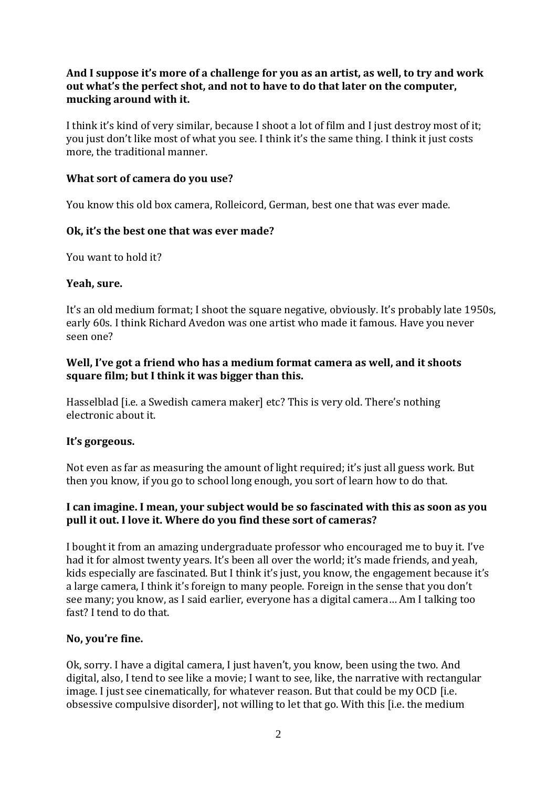### **And I suppose it's more of a challenge for you as an artist, as well, to try and work out what's the perfect shot, and not to have to do that later on the computer, mucking around with it.**

I think it's kind of very similar, because I shoot a lot of film and I just destroy most of it; you just don't like most of what you see. I think it's the same thing. I think it just costs more, the traditional manner.

### **What sort of camera do you use?**

You know this old box camera, Rolleicord, German, best one that was ever made.

#### **Ok, it's the best one that was ever made?**

You want to hold it?

#### **Yeah, sure.**

It's an old medium format; I shoot the square negative, obviously. It's probably late 1950s, early 60s. I think Richard Avedon was one artist who made it famous. Have you never seen one?

#### **Well, I've got a friend who has a medium format camera as well, and it shoots square film; but I think it was bigger than this.**

Hasselblad [i.e. a Swedish camera maker] etc? This is very old. There's nothing electronic about it.

# **It's gorgeous.**

Not even as far as measuring the amount of light required; it's just all guess work. But then you know, if you go to school long enough, you sort of learn how to do that.

### **I can imagine. I mean, your subject would be so fascinated with this as soon as you pull it out. I love it. Where do you find these sort of cameras?**

I bought it from an amazing undergraduate professor who encouraged me to buy it. I've had it for almost twenty years. It's been all over the world; it's made friends, and yeah, kids especially are fascinated. But I think it's just, you know, the engagement because it's a large camera, I think it's foreign to many people. Foreign in the sense that you don't see many; you know, as I said earlier, everyone has a digital camera… Am I talking too fast? I tend to do that.

# **No, you're fine.**

Ok, sorry. I have a digital camera, I just haven't, you know, been using the two. And digital, also, I tend to see like a movie; I want to see, like, the narrative with rectangular image. I just see cinematically, for whatever reason. But that could be my OCD [i.e. obsessive compulsive disorder], not willing to let that go. With this [i.e. the medium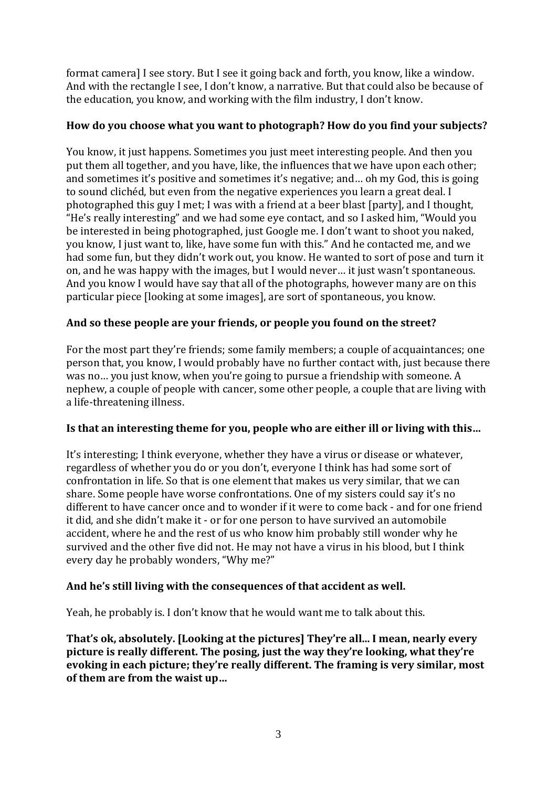format camera] I see story. But I see it going back and forth, you know, like a window. And with the rectangle I see, I don't know, a narrative. But that could also be because of the education, you know, and working with the film industry, I don't know.

# **How do you choose what you want to photograph? How do you find your subjects?**

You know, it just happens. Sometimes you just meet interesting people. And then you put them all together, and you have, like, the influences that we have upon each other; and sometimes it's positive and sometimes it's negative; and… oh my God, this is going to sound clichéd, but even from the negative experiences you learn a great deal. I photographed this guy I met; I was with a friend at a beer blast [party], and I thought, "He's really interesting" and we had some eye contact, and so I asked him, "Would you be interested in being photographed, just Google me. I don't want to shoot you naked, you know, I just want to, like, have some fun with this." And he contacted me, and we had some fun, but they didn't work out, you know. He wanted to sort of pose and turn it on, and he was happy with the images, but I would never… it just wasn't spontaneous. And you know I would have say that all of the photographs, however many are on this particular piece [looking at some images], are sort of spontaneous, you know.

# **And so these people are your friends, or people you found on the street?**

For the most part they're friends; some family members; a couple of acquaintances; one person that, you know, I would probably have no further contact with, just because there was no… you just know, when you're going to pursue a friendship with someone. A nephew, a couple of people with cancer, some other people, a couple that are living with a life-threatening illness.

#### **Is that an interesting theme for you, people who are either ill or living with this…**

It's interesting; I think everyone, whether they have a virus or disease or whatever, regardless of whether you do or you don't, everyone I think has had some sort of confrontation in life. So that is one element that makes us very similar, that we can share. Some people have worse confrontations. One of my sisters could say it's no different to have cancer once and to wonder if it were to come back - and for one friend it did, and she didn't make it - or for one person to have survived an automobile accident, where he and the rest of us who know him probably still wonder why he survived and the other five did not. He may not have a virus in his blood, but I think every day he probably wonders, "Why me?"

# **And he's still living with the consequences of that accident as well.**

Yeah, he probably is. I don't know that he would want me to talk about this.

**That's ok, absolutely. [Looking at the pictures] They're all... I mean, nearly every picture is really different. The posing, just the way they're looking, what they're evoking in each picture; they're really different. The framing is very similar, most of them are from the waist up…**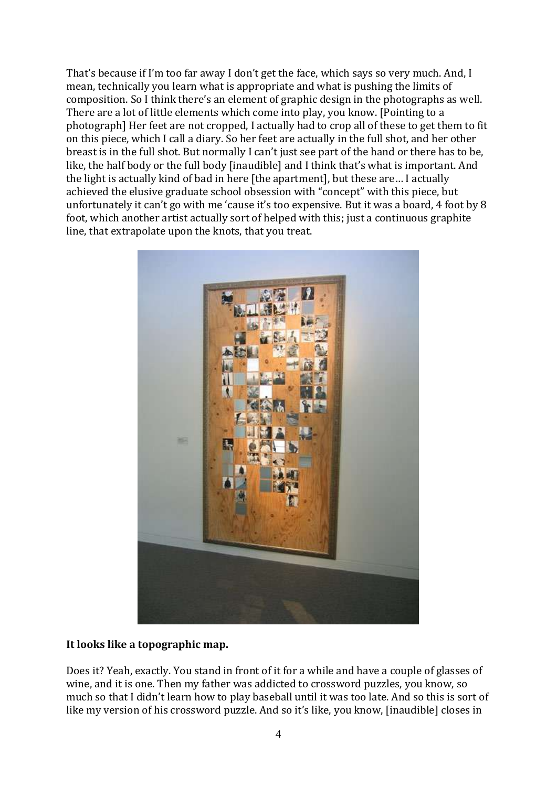That's because if I'm too far away I don't get the face, which says so very much. And, I mean, technically you learn what is appropriate and what is pushing the limits of composition. So I think there's an element of graphic design in the photographs as well. There are a lot of little elements which come into play, you know. [Pointing to a photograph] Her feet are not cropped, I actually had to crop all of these to get them to fit on this piece, which I call a diary. So her feet are actually in the full shot, and her other breast is in the full shot. But normally I can't just see part of the hand or there has to be, like, the half body or the full body [inaudible] and I think that's what is important. And the light is actually kind of bad in here [the apartment], but these are… I actually achieved the elusive graduate school obsession with "concept" with this piece, but unfortunately it can't go with me 'cause it's too expensive. But it was a board, 4 foot by 8 foot, which another artist actually sort of helped with this; just a continuous graphite line, that extrapolate upon the knots, that you treat.



#### **It looks like a topographic map.**

Does it? Yeah, exactly. You stand in front of it for a while and have a couple of glasses of wine, and it is one. Then my father was addicted to crossword puzzles, you know, so much so that I didn't learn how to play baseball until it was too late. And so this is sort of like my version of his crossword puzzle. And so it's like, you know, [inaudible] closes in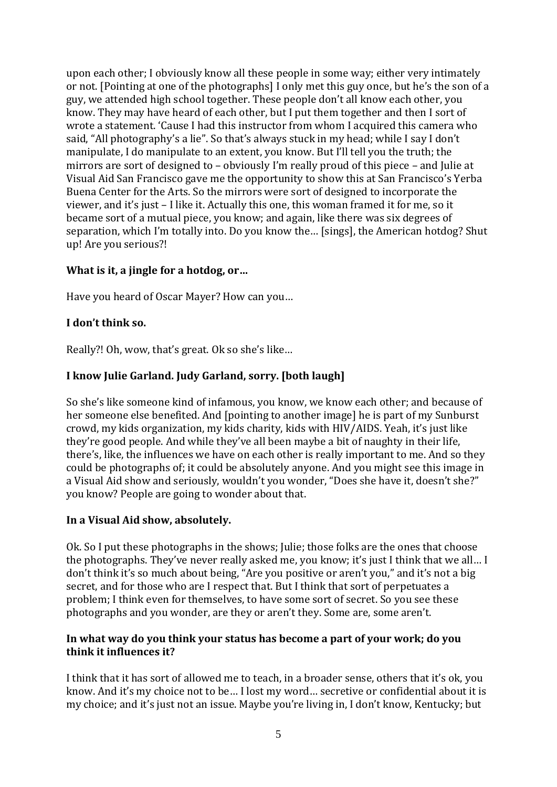upon each other; I obviously know all these people in some way; either very intimately or not. [Pointing at one of the photographs] I only met this guy once, but he's the son of a guy, we attended high school together. These people don't all know each other, you know. They may have heard of each other, but I put them together and then I sort of wrote a statement. 'Cause I had this instructor from whom I acquired this camera who said, "All photography's a lie". So that's always stuck in my head; while I say I don't manipulate, I do manipulate to an extent, you know. But I'll tell you the truth; the mirrors are sort of designed to – obviously I'm really proud of this piece – and Julie at Visual Aid San Francisco gave me the opportunity to show this at San Francisco's Yerba Buena Center for the Arts. So the mirrors were sort of designed to incorporate the viewer, and it's just – I like it. Actually this one, this woman framed it for me, so it became sort of a mutual piece, you know; and again, like there was six degrees of separation, which I'm totally into. Do you know the… [sings], the American hotdog? Shut up! Are you serious?!

### **What is it, a jingle for a hotdog, or…**

Have you heard of Oscar Mayer? How can you…

#### **I don't think so.**

Really?! Oh, wow, that's great. Ok so she's like…

### **I know Julie Garland. Judy Garland, sorry. [both laugh]**

So she's like someone kind of infamous, you know, we know each other; and because of her someone else benefited. And [pointing to another image] he is part of my Sunburst crowd, my kids organization, my kids charity, kids with HIV/AIDS. Yeah, it's just like they're good people. And while they've all been maybe a bit of naughty in their life, there's, like, the influences we have on each other is really important to me. And so they could be photographs of; it could be absolutely anyone. And you might see this image in a Visual Aid show and seriously, wouldn't you wonder, "Does she have it, doesn't she?" you know? People are going to wonder about that.

#### **In a Visual Aid show, absolutely.**

Ok. So I put these photographs in the shows; Julie; those folks are the ones that choose the photographs. They've never really asked me, you know; it's just I think that we all… I don't think it's so much about being, "Are you positive or aren't you," and it's not a big secret, and for those who are I respect that. But I think that sort of perpetuates a problem; I think even for themselves, to have some sort of secret. So you see these photographs and you wonder, are they or aren't they. Some are, some aren't.

#### **In what way do you think your status has become a part of your work; do you think it influences it?**

I think that it has sort of allowed me to teach, in a broader sense, others that it's ok, you know. And it's my choice not to be… I lost my word… secretive or confidential about it is my choice; and it's just not an issue. Maybe you're living in, I don't know, Kentucky; but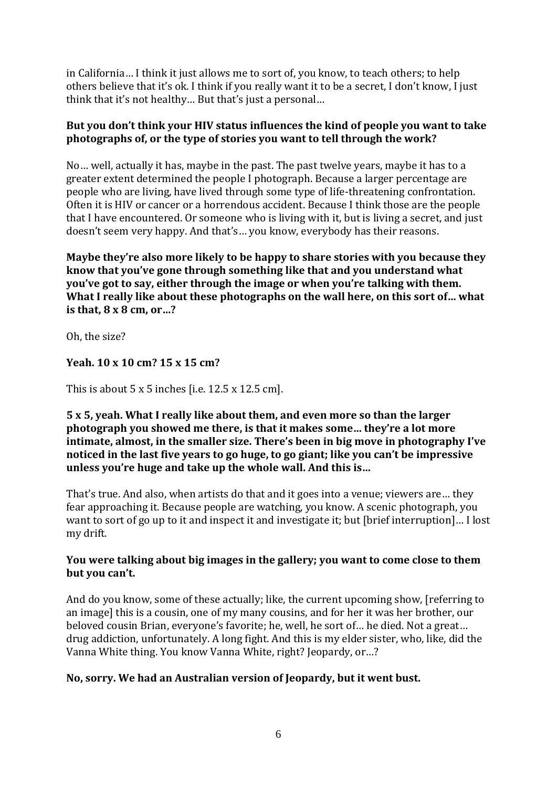in California… I think it just allows me to sort of, you know, to teach others; to help others believe that it's ok. I think if you really want it to be a secret, I don't know, I just think that it's not healthy… But that's just a personal…

### **But you don't think your HIV status influences the kind of people you want to take photographs of, or the type of stories you want to tell through the work?**

No… well, actually it has, maybe in the past. The past twelve years, maybe it has to a greater extent determined the people I photograph. Because a larger percentage are people who are living, have lived through some type of life-threatening confrontation. Often it is HIV or cancer or a horrendous accident. Because I think those are the people that I have encountered. Or someone who is living with it, but is living a secret, and just doesn't seem very happy. And that's… you know, everybody has their reasons.

**Maybe they're also more likely to be happy to share stories with you because they know that you've gone through something like that and you understand what you've got to say, either through the image or when you're talking with them. What I really like about these photographs on the wall here, on this sort of… what is that, 8 x 8 cm, or…?**

Oh, the size?

# **Yeah. 10 x 10 cm? 15 x 15 cm?**

This is about  $5 \times 5$  inches [i.e.  $12.5 \times 12.5$  cm].

#### **5 x 5, yeah. What I really like about them, and even more so than the larger photograph you showed me there, is that it makes some… they're a lot more intimate, almost, in the smaller size. There's been in big move in photography I've noticed in the last five years to go huge, to go giant; like you can't be impressive unless you're huge and take up the whole wall. And this is…**

That's true. And also, when artists do that and it goes into a venue; viewers are… they fear approaching it. Because people are watching, you know. A scenic photograph, you want to sort of go up to it and inspect it and investigate it; but [brief interruption]… I lost my drift.

### **You were talking about big images in the gallery; you want to come close to them but you can't.**

And do you know, some of these actually; like, the current upcoming show, [referring to an image] this is a cousin, one of my many cousins, and for her it was her brother, our beloved cousin Brian, everyone's favorite; he, well, he sort of… he died. Not a great… drug addiction, unfortunately. A long fight. And this is my elder sister, who, like, did the Vanna White thing. You know Vanna White, right? Jeopardy, or…?

# **No, sorry. We had an Australian version of Jeopardy, but it went bust.**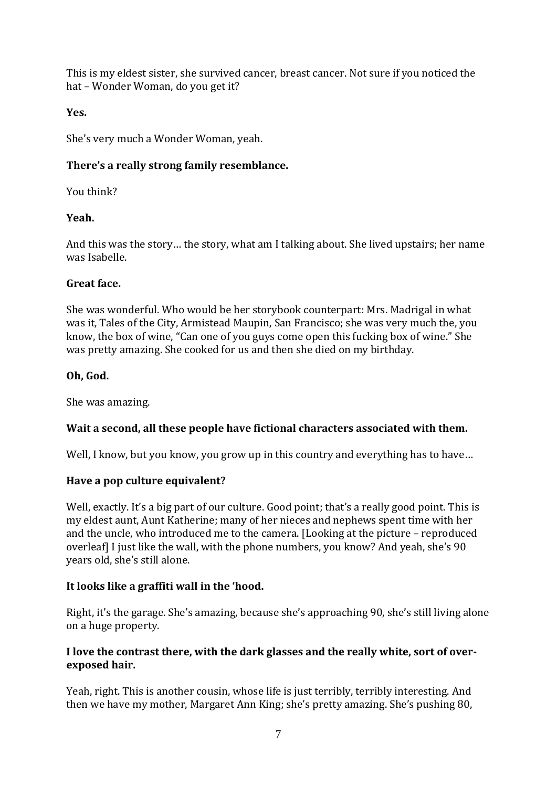This is my eldest sister, she survived cancer, breast cancer. Not sure if you noticed the hat – Wonder Woman, do you get it?

# **Yes.**

She's very much a Wonder Woman, yeah.

# **There's a really strong family resemblance.**

You think?

# **Yeah.**

And this was the story… the story, what am I talking about. She lived upstairs; her name was Isabelle.

# **Great face.**

She was wonderful. Who would be her storybook counterpart: Mrs. Madrigal in what was it, Tales of the City, Armistead Maupin, San Francisco; she was very much the, you know, the box of wine, "Can one of you guys come open this fucking box of wine." She was pretty amazing. She cooked for us and then she died on my birthday.

# **Oh, God.**

She was amazing.

# **Wait a second, all these people have fictional characters associated with them.**

Well, I know, but you know, you grow up in this country and everything has to have...

# **Have a pop culture equivalent?**

Well, exactly. It's a big part of our culture. Good point; that's a really good point. This is my eldest aunt, Aunt Katherine; many of her nieces and nephews spent time with her and the uncle, who introduced me to the camera. [Looking at the picture – reproduced overleaf] I just like the wall, with the phone numbers, you know? And yeah, she's 90 years old, she's still alone.

# **It looks like a graffiti wall in the 'hood.**

Right, it's the garage. She's amazing, because she's approaching 90, she's still living alone on a huge property.

# **I love the contrast there, with the dark glasses and the really white, sort of overexposed hair.**

Yeah, right. This is another cousin, whose life is just terribly, terribly interesting. And then we have my mother, Margaret Ann King; she's pretty amazing. She's pushing 80,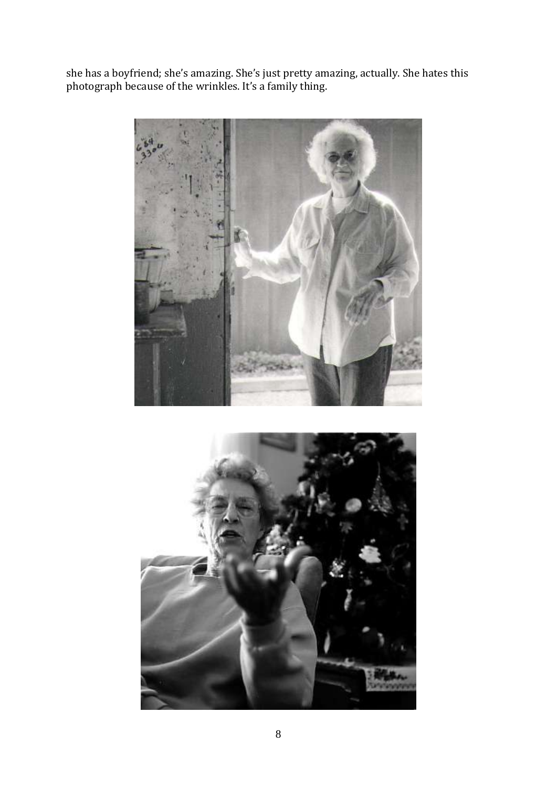she has a boyfriend; she's amazing. She's just pretty amazing, actually. She hates this photograph because of the wrinkles. It's a family thing.



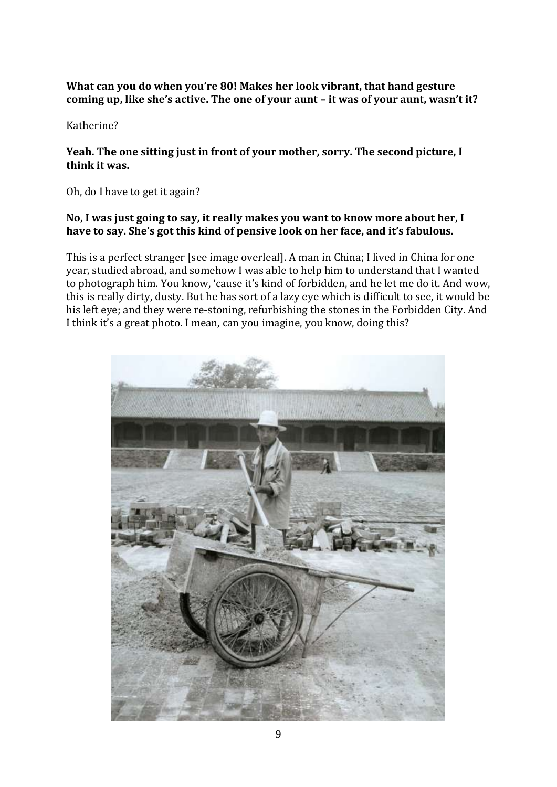#### **What can you do when you're 80! Makes her look vibrant, that hand gesture coming up, like she's active. The one of your aunt – it was of your aunt, wasn't it?**

Katherine?

### **Yeah. The one sitting just in front of your mother, sorry. The second picture, I think it was.**

Oh, do I have to get it again?

#### **No, I was just going to say, it really makes you want to know more about her, I have to say. She's got this kind of pensive look on her face, and it's fabulous.**

This is a perfect stranger [see image overleaf]. A man in China; I lived in China for one year, studied abroad, and somehow I was able to help him to understand that I wanted to photograph him. You know, 'cause it's kind of forbidden, and he let me do it. And wow, this is really dirty, dusty. But he has sort of a lazy eye which is difficult to see, it would be his left eye; and they were re-stoning, refurbishing the stones in the Forbidden City. And I think it's a great photo. I mean, can you imagine, you know, doing this?

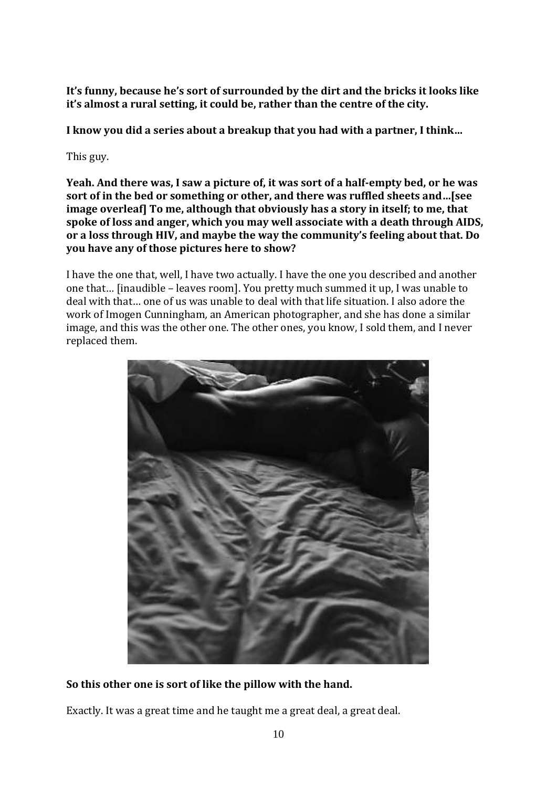**It's funny, because he's sort of surrounded by the dirt and the bricks it looks like it's almost a rural setting, it could be, rather than the centre of the city.** 

**I know you did a series about a breakup that you had with a partner, I think…**

This guy.

**Yeah. And there was, I saw a picture of, it was sort of a half-empty bed, or he was sort of in the bed or something or other, and there was ruffled sheets and…[see image overleaf] To me, although that obviously has a story in itself; to me, that spoke of loss and anger, which you may well associate with a death through AIDS, or a loss through HIV, and maybe the way the community's feeling about that. Do you have any of those pictures here to show?**

I have the one that, well, I have two actually. I have the one you described and another one that… [inaudible – leaves room]. You pretty much summed it up, I was unable to deal with that… one of us was unable to deal with that life situation. I also adore the work of Imogen Cunningham*,* an American photographer, and she has done a similar image, and this was the other one. The other ones, you know, I sold them, and I never replaced them.



**So this other one is sort of like the pillow with the hand.**

Exactly. It was a great time and he taught me a great deal, a great deal.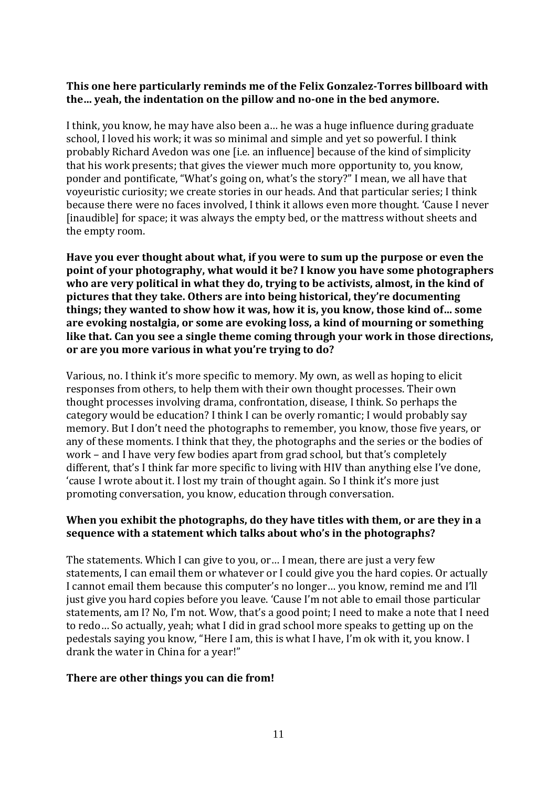#### **This one here particularly reminds me of the Felix Gonzalez-Torres billboard with the… yeah, the indentation on the pillow and no-one in the bed anymore.**

I think, you know, he may have also been a… he was a huge influence during graduate school, I loved his work; it was so minimal and simple and yet so powerful. I think probably Richard Avedon was one [i.e. an influence] because of the kind of simplicity that his work presents; that gives the viewer much more opportunity to, you know, ponder and pontificate, "What's going on, what's the story?" I mean, we all have that voyeuristic curiosity; we create stories in our heads. And that particular series; I think because there were no faces involved, I think it allows even more thought. 'Cause I never [inaudible] for space; it was always the empty bed, or the mattress without sheets and the empty room.

**Have you ever thought about what, if you were to sum up the purpose or even the point of your photography, what would it be? I know you have some photographers who are very political in what they do, trying to be activists, almost, in the kind of pictures that they take. Others are into being historical, they're documenting things; they wanted to show how it was, how it is, you know, those kind of… some are evoking nostalgia, or some are evoking loss, a kind of mourning or something like that. Can you see a single theme coming through your work in those directions, or are you more various in what you're trying to do?**

Various, no. I think it's more specific to memory. My own, as well as hoping to elicit responses from others, to help them with their own thought processes. Their own thought processes involving drama, confrontation, disease, I think. So perhaps the category would be education? I think I can be overly romantic; I would probably say memory. But I don't need the photographs to remember, you know, those five years, or any of these moments. I think that they, the photographs and the series or the bodies of work – and I have very few bodies apart from grad school, but that's completely different, that's I think far more specific to living with HIV than anything else I've done, 'cause I wrote about it. I lost my train of thought again. So I think it's more just promoting conversation, you know, education through conversation.

### **When you exhibit the photographs, do they have titles with them, or are they in a sequence with a statement which talks about who's in the photographs?**

The statements. Which I can give to you, or… I mean, there are just a very few statements, I can email them or whatever or I could give you the hard copies. Or actually I cannot email them because this computer's no longer… you know, remind me and I'll just give you hard copies before you leave. 'Cause I'm not able to email those particular statements, am I? No, I'm not. Wow, that's a good point; I need to make a note that I need to redo… So actually, yeah; what I did in grad school more speaks to getting up on the pedestals saying you know, "Here I am, this is what I have, I'm ok with it, you know. I drank the water in China for a year!"

#### **There are other things you can die from!**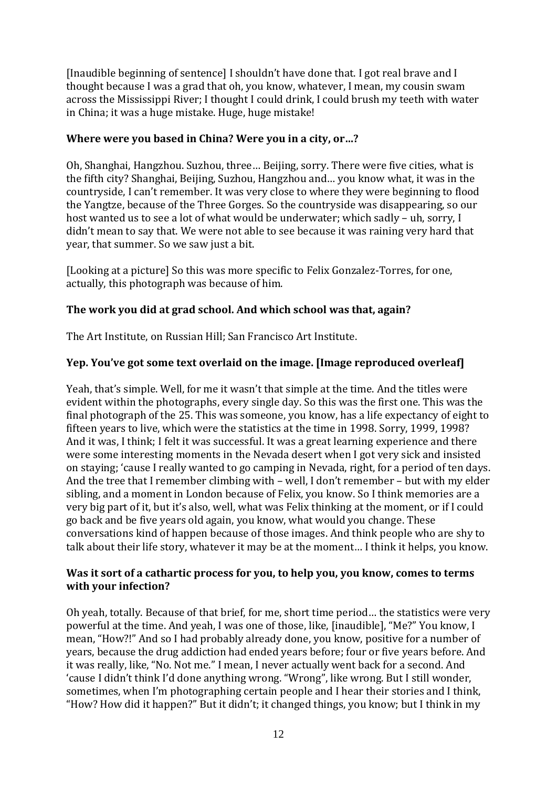[Inaudible beginning of sentence] I shouldn't have done that. I got real brave and I thought because I was a grad that oh, you know, whatever, I mean, my cousin swam across the Mississippi River; I thought I could drink, I could brush my teeth with water in China; it was a huge mistake. Huge, huge mistake!

### **Where were you based in China? Were you in a city, or…?**

Oh, Shanghai, Hangzhou. Suzhou, three… Beijing, sorry. There were five cities, what is the fifth city? Shanghai, Beijing, Suzhou, Hangzhou and… you know what, it was in the countryside, I can't remember. It was very close to where they were beginning to flood the Yangtze, because of the Three Gorges. So the countryside was disappearing, so our host wanted us to see a lot of what would be underwater; which sadly – uh, sorry, I didn't mean to say that. We were not able to see because it was raining very hard that year, that summer. So we saw just a bit.

[Looking at a picture] So this was more specific to Felix Gonzalez-Torres, for one, actually, this photograph was because of him.

# **The work you did at grad school. And which school was that, again?**

The Art Institute, on Russian Hill; San Francisco Art Institute.

# **Yep. You've got some text overlaid on the image. [Image reproduced overleaf]**

Yeah, that's simple. Well, for me it wasn't that simple at the time. And the titles were evident within the photographs, every single day. So this was the first one. This was the final photograph of the 25. This was someone, you know, has a life expectancy of eight to fifteen years to live, which were the statistics at the time in 1998. Sorry, 1999, 1998? And it was, I think; I felt it was successful. It was a great learning experience and there were some interesting moments in the Nevada desert when I got very sick and insisted on staying; 'cause I really wanted to go camping in Nevada, right, for a period of ten days. And the tree that I remember climbing with – well, I don't remember – but with my elder sibling, and a moment in London because of Felix, you know. So I think memories are a very big part of it, but it's also, well, what was Felix thinking at the moment, or if I could go back and be five years old again, you know, what would you change. These conversations kind of happen because of those images. And think people who are shy to talk about their life story, whatever it may be at the moment… I think it helps, you know.

### **Was it sort of a cathartic process for you, to help you, you know, comes to terms with your infection?**

Oh yeah, totally. Because of that brief, for me, short time period… the statistics were very powerful at the time. And yeah, I was one of those, like, [inaudible], "Me?" You know, I mean, "How?!" And so I had probably already done, you know, positive for a number of years, because the drug addiction had ended years before; four or five years before. And it was really, like, "No. Not me." I mean, I never actually went back for a second. And 'cause I didn't think I'd done anything wrong. "Wrong", like wrong. But I still wonder, sometimes, when I'm photographing certain people and I hear their stories and I think, "How? How did it happen?" But it didn't; it changed things, you know; but I think in my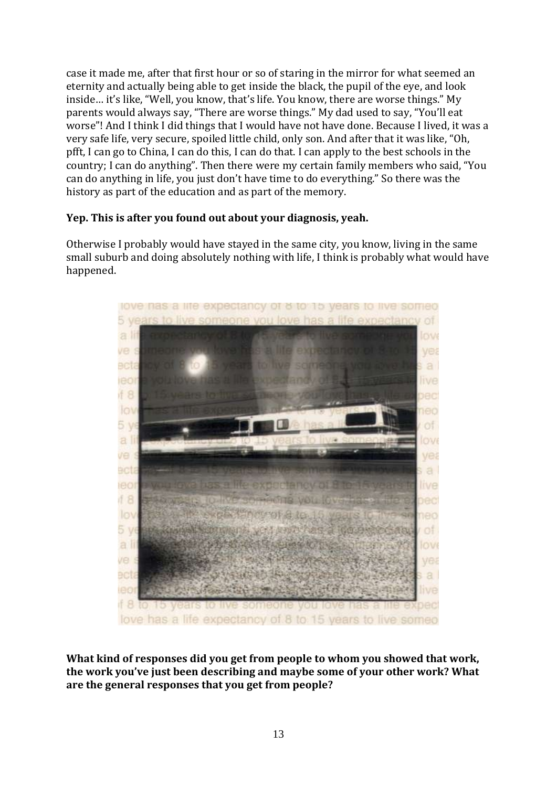case it made me, after that first hour or so of staring in the mirror for what seemed an eternity and actually being able to get inside the black, the pupil of the eye, and look inside… it's like, "Well, you know, that's life. You know, there are worse things." My parents would always say, "There are worse things." My dad used to say, "You'll eat worse"! And I think I did things that I would have not have done. Because I lived, it was a very safe life, very secure, spoiled little child, only son. And after that it was like, "Oh, pfft, I can go to China, I can do this, I can do that. I can apply to the best schools in the country; I can do anything". Then there were my certain family members who said, "You can do anything in life, you just don't have time to do everything." So there was the history as part of the education and as part of the memory.

### **Yep. This is after you found out about your diagnosis, yeah.**

Otherwise I probably would have stayed in the same city, you know, living in the same small suburb and doing absolutely nothing with life, I think is probably what would have happened.



**What kind of responses did you get from people to whom you showed that work, the work you've just been describing and maybe some of your other work? What are the general responses that you get from people?**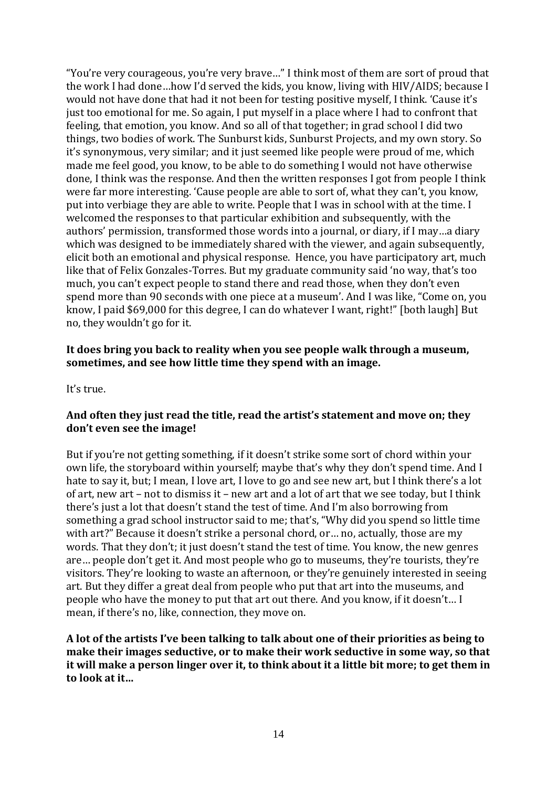"You're very courageous, you're very brave…" I think most of them are sort of proud that the work I had done…how I'd served the kids, you know, living with HIV/AIDS; because I would not have done that had it not been for testing positive myself, I think. 'Cause it's just too emotional for me. So again, I put myself in a place where I had to confront that feeling, that emotion, you know. And so all of that together; in grad school I did two things, two bodies of work. The Sunburst kids, Sunburst Projects, and my own story. So it's synonymous, very similar; and it just seemed like people were proud of me, which made me feel good, you know, to be able to do something I would not have otherwise done, I think was the response. And then the written responses I got from people I think were far more interesting. 'Cause people are able to sort of, what they can't, you know, put into verbiage they are able to write. People that I was in school with at the time. I welcomed the responses to that particular exhibition and subsequently, with the authors' permission, transformed those words into a journal, or diary, if I may…a diary which was designed to be immediately shared with the viewer, and again subsequently, elicit both an emotional and physical response. Hence, you have participatory art, much like that of Felix Gonzales-Torres. But my graduate community said 'no way, that's too much, you can't expect people to stand there and read those, when they don't even spend more than 90 seconds with one piece at a museum'. And I was like, "Come on, you know, I paid \$69,000 for this degree, I can do whatever I want, right!" [both laugh] But no, they wouldn't go for it.

#### **It does bring you back to reality when you see people walk through a museum, sometimes, and see how little time they spend with an image.**

It's true.

#### **And often they just read the title, read the artist's statement and move on; they don't even see the image!**

But if you're not getting something, if it doesn't strike some sort of chord within your own life, the storyboard within yourself; maybe that's why they don't spend time. And I hate to say it, but; I mean, I love art, I love to go and see new art, but I think there's a lot of art, new art – not to dismiss it – new art and a lot of art that we see today, but I think there's just a lot that doesn't stand the test of time. And I'm also borrowing from something a grad school instructor said to me; that's, "Why did you spend so little time with art?" Because it doesn't strike a personal chord, or… no, actually, those are my words. That they don't; it just doesn't stand the test of time. You know, the new genres are… people don't get it. And most people who go to museums, they're tourists, they're visitors. They're looking to waste an afternoon, or they're genuinely interested in seeing art. But they differ a great deal from people who put that art into the museums, and people who have the money to put that art out there. And you know, if it doesn't… I mean, if there's no, like, connection, they move on.

**A lot of the artists I've been talking to talk about one of their priorities as being to make their images seductive, or to make their work seductive in some way, so that it will make a person linger over it, to think about it a little bit more; to get them in to look at it…**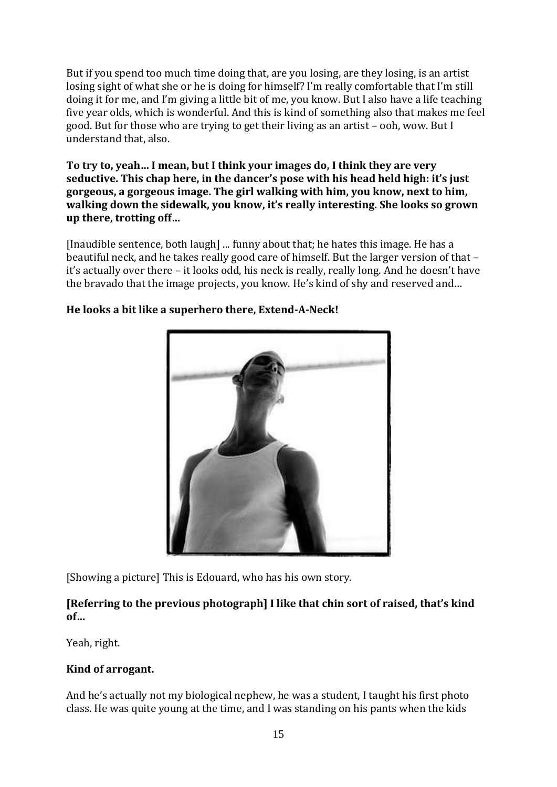But if you spend too much time doing that, are you losing, are they losing, is an artist losing sight of what she or he is doing for himself? I'm really comfortable that I'm still doing it for me, and I'm giving a little bit of me, you know. But I also have a life teaching five year olds, which is wonderful. And this is kind of something also that makes me feel good. But for those who are trying to get their living as an artist – ooh, wow. But I understand that, also.

**To try to, yeah… I mean, but I think your images do, I think they are very seductive. This chap here, in the dancer's pose with his head held high: it's just gorgeous, a gorgeous image. The girl walking with him, you know, next to him, walking down the sidewalk, you know, it's really interesting. She looks so grown up there, trotting off…**

[Inaudible sentence, both laugh] ... funny about that; he hates this image. He has a beautiful neck, and he takes really good care of himself. But the larger version of that – it's actually over there – it looks odd, his neck is really, really long. And he doesn't have the bravado that the image projects, you know. He's kind of shy and reserved and…



# **He looks a bit like a superhero there, Extend-A-Neck!**

[Showing a picture] This is Edouard, who has his own story.

# **[Referring to the previous photograph] I like that chin sort of raised, that's kind of…**

Yeah, right.

# **Kind of arrogant.**

And he's actually not my biological nephew, he was a student, I taught his first photo class. He was quite young at the time, and I was standing on his pants when the kids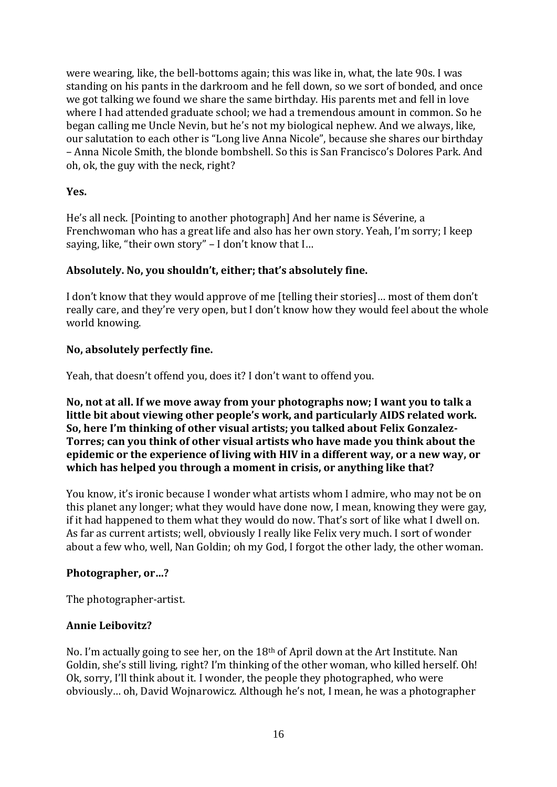were wearing, like, the bell-bottoms again; this was like in, what, the late 90s. I was standing on his pants in the darkroom and he fell down, so we sort of bonded, and once we got talking we found we share the same birthday. His parents met and fell in love where I had attended graduate school; we had a tremendous amount in common. So he began calling me Uncle Nevin, but he's not my biological nephew. And we always, like, our salutation to each other is "Long live Anna Nicole", because she shares our birthday – Anna Nicole Smith, the blonde bombshell. So this is San Francisco's Dolores Park. And oh, ok, the guy with the neck, right?

### **Yes.**

He's all neck. [Pointing to another photograph] And her name is Séverine, a Frenchwoman who has a great life and also has her own story. Yeah, I'm sorry; I keep saying, like, "their own story" – I don't know that I…

### **Absolutely. No, you shouldn't, either; that's absolutely fine.**

I don't know that they would approve of me [telling their stories]… most of them don't really care, and they're very open, but I don't know how they would feel about the whole world knowing.

### **No, absolutely perfectly fine.**

Yeah, that doesn't offend you, does it? I don't want to offend you.

**No, not at all. If we move away from your photographs now; I want you to talk a little bit about viewing other people's work, and particularly AIDS related work. So, here I'm thinking of other visual artists; you talked about Felix Gonzalez-Torres; can you think of other visual artists who have made you think about the epidemic or the experience of living with HIV in a different way, or a new way, or which has helped you through a moment in crisis, or anything like that?**

You know, it's ironic because I wonder what artists whom I admire, who may not be on this planet any longer; what they would have done now, I mean, knowing they were gay, if it had happened to them what they would do now. That's sort of like what I dwell on. As far as current artists; well, obviously I really like Felix very much. I sort of wonder about a few who, well, Nan Goldin; oh my God, I forgot the other lady, the other woman.

# **Photographer, or…?**

The photographer-artist.

#### **Annie Leibovitz?**

No. I'm actually going to see her, on the 18th of April down at the Art Institute. Nan Goldin, she's still living, right? I'm thinking of the other woman, who killed herself. Oh! Ok, sorry, I'll think about it. I wonder, the people they photographed, who were obviously… oh, David Wojnarowicz. Although he's not, I mean, he was a photographer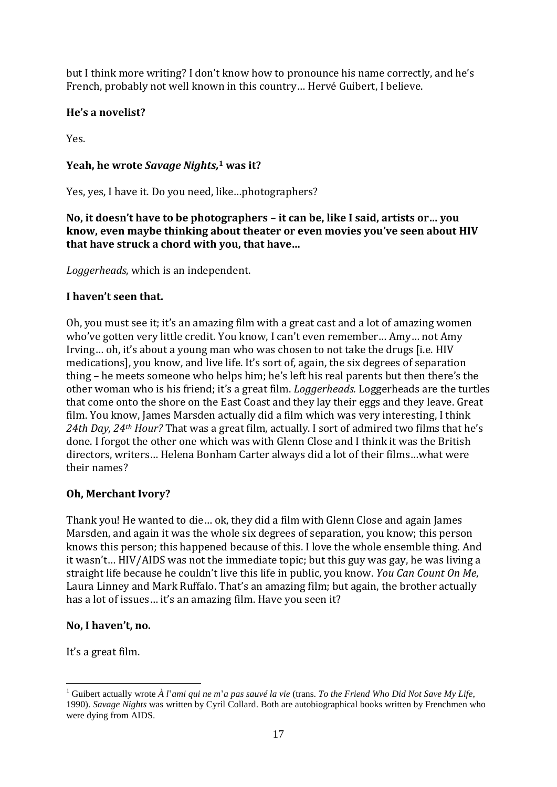but I think more writing? I don't know how to pronounce his name correctly, and he's French, probably not well known in this country… Hervé Guibert, I believe.

# **He's a novelist?**

Yes.

# **Yeah, he wrote** *Savage Nights,* **<sup>1</sup> was it?**

Yes, yes, I have it. Do you need, like…photographers?

**No, it doesn't have to be photographers – it can be, like I said, artists or… you know, even maybe thinking about theater or even movies you've seen about HIV that have struck a chord with you, that have…**

*Loggerheads*, which is an independent.

# **I haven't seen that.**

Oh, you must see it; it's an amazing film with a great cast and a lot of amazing women who've gotten very little credit. You know, I can't even remember… Amy… not Amy Irving… oh, it's about a young man who was chosen to not take the drugs [i.e. HIV medications], you know, and live life. It's sort of, again, the six degrees of separation thing – he meets someone who helps him; he's left his real parents but then there's the other woman who is his friend; it's a great film. *Loggerheads.* Loggerheads are the turtles that come onto the shore on the East Coast and they lay their eggs and they leave. Great film. You know, James Marsden actually did a film which was very interesting, I think *24th Day, 24th Hour?* That was a great film, actually. I sort of admired two films that he's done. I forgot the other one which was with Glenn Close and I think it was the British directors, writers… Helena Bonham Carter always did a lot of their films…what were their names?

# **Oh, Merchant Ivory?**

Thank you! He wanted to die… ok, they did a film with Glenn Close and again James Marsden, and again it was the whole six degrees of separation, you know; this person knows this person; this happened because of this. I love the whole ensemble thing. And it wasn't… HIV/AIDS was not the immediate topic; but this guy was gay, he was living a straight life because he couldn't live this life in public, you know. *You Can Count On Me*, Laura Linney and Mark Ruffalo. That's an amazing film; but again, the brother actually has a lot of issues... it's an amazing film. Have you seen it?

# **No, I haven't, no.**

It's a great film.

 $\overline{a}$ 

<sup>1</sup> Guibert actually wrote *À l*'*ami qui ne m*'*a pas sauvé la vie* (trans. *To the Friend Who Did Not Save My Life*, 1990). *Savage Nights* was written by Cyril Collard. Both are autobiographical books written by Frenchmen who were dying from AIDS.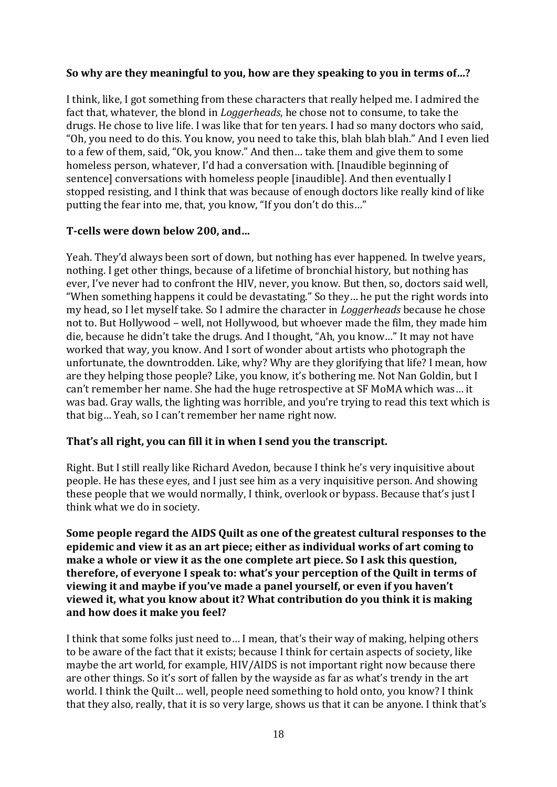#### **So why are they meaningful to you, how are they speaking to you in terms of…?**

I think, like, I got something from these characters that really helped me. I admired the fact that, whatever, the blond in *Loggerheads*, he chose not to consume, to take the drugs. He chose to live life. I was like that for ten years. I had so many doctors who said, "Oh, you need to do this. You know, you need to take this, blah blah blah." And I even lied to a few of them, said, "Ok, you know." And then… take them and give them to some homeless person, whatever, I'd had a conversation with. [Inaudible beginning of sentence] conversations with homeless people [inaudible]. And then eventually I stopped resisting, and I think that was because of enough doctors like really kind of like putting the fear into me, that, you know, "If you don't do this…"

#### **T-cells were down below 200, and…**

Yeah. They'd always been sort of down, but nothing has ever happened. In twelve years, nothing. I get other things, because of a lifetime of bronchial history, but nothing has ever, I've never had to confront the HIV, never, you know. But then, so, doctors said well, "When something happens it could be devastating." So they… he put the right words into my head, so I let myself take. So I admire the character in *Loggerheads* because he chose not to. But Hollywood – well, not Hollywood, but whoever made the film, they made him die, because he didn't take the drugs. And I thought, "Ah, you know…" It may not have worked that way, you know. And I sort of wonder about artists who photograph the unfortunate, the downtrodden. Like, why? Why are they glorifying that life? I mean, how are they helping those people? Like, you know, it's bothering me. Not Nan Goldin, but I can't remember her name. She had the huge retrospective at SF MoMA which was… it was bad. Gray walls, the lighting was horrible, and you're trying to read this text which is that big… Yeah, so I can't remember her name right now.

#### **That's all right, you can fill it in when I send you the transcript.**

Right. But I still really like Richard Avedon, because I think he's very inquisitive about people. He has these eyes, and I just see him as a very inquisitive person. And showing these people that we would normally, I think, overlook or bypass. Because that's just I think what we do in society.

**Some people regard the AIDS Quilt as one of the greatest cultural responses to the epidemic and view it as an art piece; either as individual works of art coming to make a whole or view it as the one complete art piece. So I ask this question, therefore, of everyone I speak to: what's your perception of the Quilt in terms of viewing it and maybe if you've made a panel yourself, or even if you haven't viewed it, what you know about it? What contribution do you think it is making and how does it make you feel?**

I think that some folks just need to… I mean, that's their way of making, helping others to be aware of the fact that it exists; because I think for certain aspects of society, like maybe the art world, for example, HIV/AIDS is not important right now because there are other things. So it's sort of fallen by the wayside as far as what's trendy in the art world. I think the Quilt… well, people need something to hold onto, you know? I think that they also, really, that it is so very large, shows us that it can be anyone. I think that's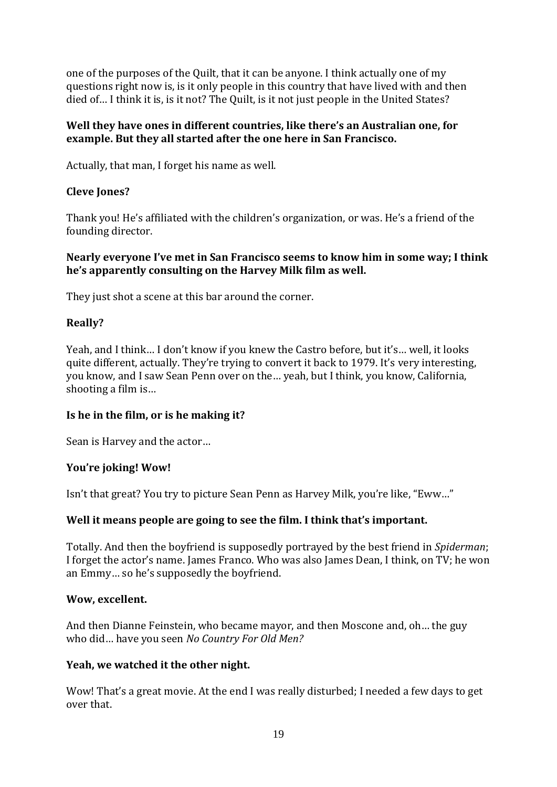one of the purposes of the Quilt, that it can be anyone. I think actually one of my questions right now is, is it only people in this country that have lived with and then died of… I think it is, is it not? The Quilt, is it not just people in the United States?

### **Well they have ones in different countries, like there's an Australian one, for example. But they all started after the one here in San Francisco.**

Actually, that man, I forget his name as well.

### **Cleve Jones?**

Thank you! He's affiliated with the children's organization, or was. He's a friend of the founding director.

#### **Nearly everyone I've met in San Francisco seems to know him in some way; I think he's apparently consulting on the Harvey Milk film as well.**

They just shot a scene at this bar around the corner.

### **Really?**

Yeah, and I think… I don't know if you knew the Castro before, but it's… well, it looks quite different, actually. They're trying to convert it back to 1979. It's very interesting, you know, and I saw Sean Penn over on the… yeah, but I think, you know, California, shooting a film is…

#### **Is he in the film, or is he making it?**

Sean is Harvey and the actor…

#### **You're joking! Wow!**

Isn't that great? You try to picture Sean Penn as Harvey Milk, you're like, "Eww…"

#### **Well it means people are going to see the film. I think that's important.**

Totally. And then the boyfriend is supposedly portrayed by the best friend in *Spiderman*; I forget the actor's name. James Franco. Who was also James Dean, I think, on TV; he won an Emmy… so he's supposedly the boyfriend.

#### **Wow, excellent.**

And then Dianne Feinstein, who became mayor, and then Moscone and, oh… the guy who did… have you seen *No Country For Old Men?*

#### **Yeah, we watched it the other night.**

Wow! That's a great movie. At the end I was really disturbed; I needed a few days to get over that.